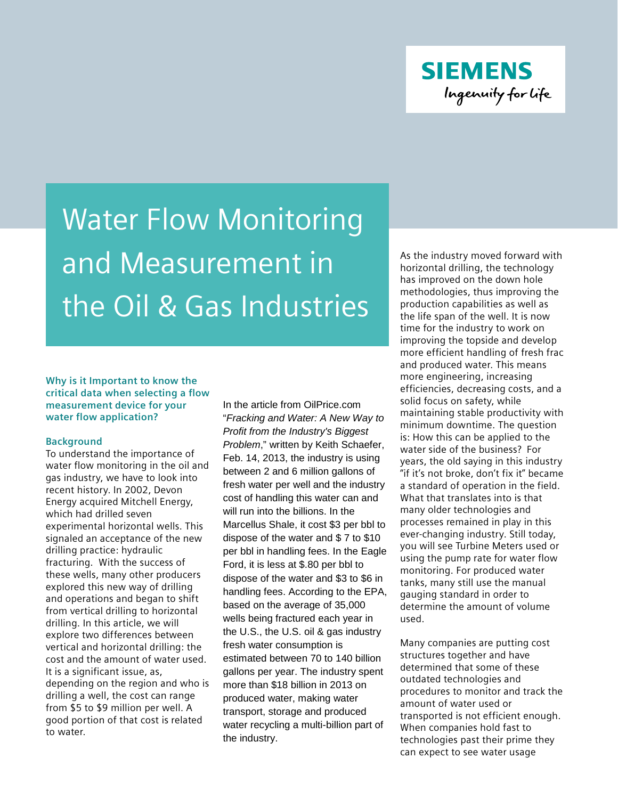**SIEMENS** Ingenuity for life

# Water Flow Monitoring and Measurement in the Oil & Gas Industries

**Why is it Important to know the critical data when selecting a flow measurement device for your water flow application?**

#### **Background**

To understand the importance of water flow monitoring in the oil and gas industry, we have to look into recent history. In 2002, Devon Energy acquired Mitchell Energy, which had drilled seven experimental horizontal wells. This signaled an acceptance of the new drilling practice: hydraulic fracturing. With the success of these wells, many other producers explored this new way of drilling and operations and began to shift from vertical drilling to horizontal drilling. In this article, we will explore two differences between vertical and horizontal drilling: the cost and the amount of water used. It is a significant issue, as, depending on the region and who is drilling a well, the cost can range from \$5 to \$9 million per well. A good portion of that cost is related to water.

In the article from OilPrice.com "*Fracking and Water: A New Way to Profit from the Industry's Biggest Problem*," written by Keith Schaefer, Feb. 14, 2013, the industry is using between 2 and 6 million gallons of fresh water per well and the industry cost of handling this water can and will run into the billions. In the Marcellus Shale, it cost \$3 per bbl to dispose of the water and \$ 7 to \$10 per bbl in handling fees. In the Eagle Ford, it is less at \$.80 per bbl to dispose of the water and \$3 to \$6 in handling fees. According to the EPA, based on the average of 35,000 wells being fractured each year in the U.S., the U.S. oil & gas industry fresh water consumption is estimated between 70 to 140 billion gallons per year. The industry spent more than \$18 billion in 2013 on produced water, making water transport, storage and produced water recycling a multi-billion part of the industry.

As the industry moved forward with horizontal drilling, the technology has improved on the down hole methodologies, thus improving the production capabilities as well as the life span of the well. It is now time for the industry to work on improving the topside and develop more efficient handling of fresh frac and produced water. This means more engineering, increasing efficiencies, decreasing costs, and a solid focus on safety, while maintaining stable productivity with minimum downtime. The question is: How this can be applied to the water side of the business? For years, the old saying in this industry "if it's not broke, don't fix it" became a standard of operation in the field. What that translates into is that many older technologies and processes remained in play in this ever-changing industry. Still today, you will see Turbine Meters used or using the pump rate for water flow monitoring. For produced water tanks, many still use the manual gauging standard in order to determine the amount of volume used.

Many companies are putting cost structures together and have determined that some of these outdated technologies and procedures to monitor and track the amount of water used or transported is not efficient enough. When companies hold fast to technologies past their prime they can expect to see water usage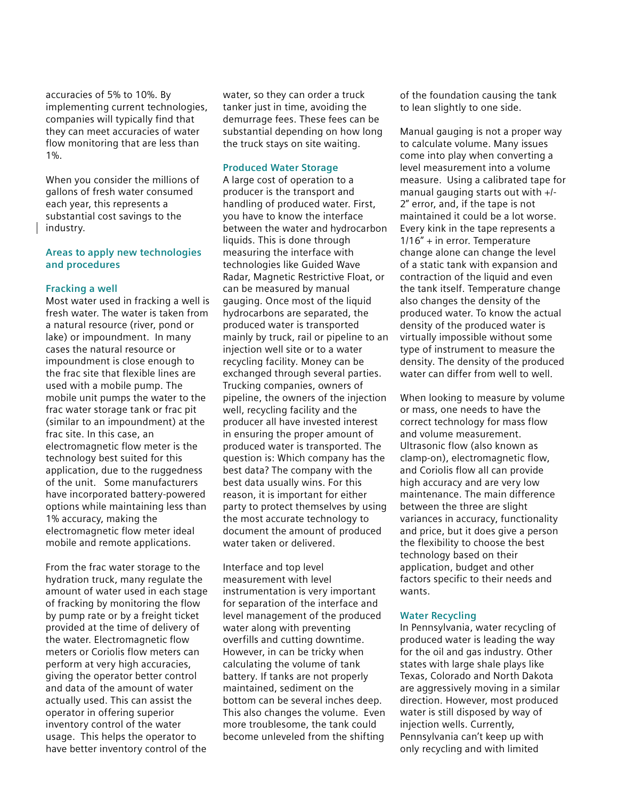accuracies of 5% to 10%. By implementing current technologies, companies will typically find that they can meet accuracies of water flow monitoring that are less than 1%.

When you consider the millions of gallons of fresh water consumed each year, this represents a substantial cost savings to the industry.

#### **Areas to apply new technologies and procedures**

#### **Fracking a well**

Most water used in fracking a well is fresh water. The water is taken from a natural resource (river, pond or lake) or impoundment. In many cases the natural resource or impoundment is close enough to the frac site that flexible lines are used with a mobile pump. The mobile unit pumps the water to the frac water storage tank or frac pit (similar to an impoundment) at the frac site. In this case, an electromagnetic flow meter is the technology best suited for this application, due to the ruggedness of the unit. Some manufacturers have incorporated battery-powered options while maintaining less than 1% accuracy, making the electromagnetic flow meter ideal mobile and remote applications.

From the frac water storage to the hydration truck, many regulate the amount of water used in each stage of fracking by monitoring the flow by pump rate or by a freight ticket provided at the time of delivery of the water. Electromagnetic flow meters or Coriolis flow meters can perform at very high accuracies, giving the operator better control and data of the amount of water actually used. This can assist the operator in offering superior inventory control of the water usage. This helps the operator to have better inventory control of the

water, so they can order a truck tanker just in time, avoiding the demurrage fees. These fees can be substantial depending on how long the truck stays on site waiting.

#### **Produced Water Storage**

A large cost of operation to a producer is the transport and handling of produced water. First, you have to know the interface between the water and hydrocarbon liquids. This is done through measuring the interface with technologies like Guided Wave Radar, Magnetic Restrictive Float, or can be measured by manual gauging. Once most of the liquid hydrocarbons are separated, the produced water is transported mainly by truck, rail or pipeline to an injection well site or to a water recycling facility. Money can be exchanged through several parties. Trucking companies, owners of pipeline, the owners of the injection well, recycling facility and the producer all have invested interest in ensuring the proper amount of produced water is transported. The question is: Which company has the best data? The company with the best data usually wins. For this reason, it is important for either party to protect themselves by using the most accurate technology to document the amount of produced water taken or delivered.

Interface and top level measurement with level instrumentation is very important for separation of the interface and level management of the produced water along with preventing overfills and cutting downtime. However, in can be tricky when calculating the volume of tank battery. If tanks are not properly maintained, sediment on the bottom can be several inches deep. This also changes the volume. Even more troublesome, the tank could become unleveled from the shifting

of the foundation causing the tank to lean slightly to one side.

Manual gauging is not a proper way to calculate volume. Many issues come into play when converting a level measurement into a volume measure. Using a calibrated tape for manual gauging starts out with +/- 2" error, and, if the tape is not maintained it could be a lot worse. Every kink in the tape represents a 1/16" + in error. Temperature change alone can change the level of a static tank with expansion and contraction of the liquid and even the tank itself. Temperature change also changes the density of the produced water. To know the actual density of the produced water is virtually impossible without some type of instrument to measure the density. The density of the produced water can differ from well to well.

When looking to measure by volume or mass, one needs to have the correct technology for mass flow and volume measurement. Ultrasonic flow (also known as clamp-on), electromagnetic flow, and Coriolis flow all can provide high accuracy and are very low maintenance. The main difference between the three are slight variances in accuracy, functionality and price, but it does give a person the flexibility to choose the best technology based on their application, budget and other factors specific to their needs and wants.

#### **Water Recycling**

In Pennsylvania, water recycling of produced water is leading the way for the oil and gas industry. Other states with large shale plays like Texas, Colorado and North Dakota are aggressively moving in a similar direction. However, most produced water is still disposed by way of injection wells. Currently, Pennsylvania can't keep up with only recycling and with limited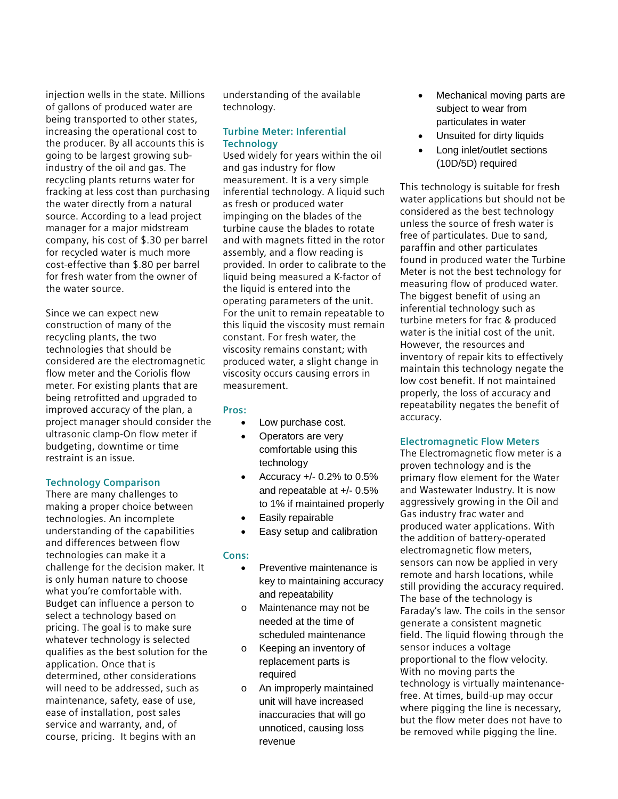injection wells in the state. Millions of gallons of produced water are being transported to other states, increasing the operational cost to the producer. By all accounts this is going to be largest growing subindustry of the oil and gas. The recycling plants returns water for fracking at less cost than purchasing the water directly from a natural source. According to a lead project manager for a major midstream company, his cost of \$.30 per barrel for recycled water is much more cost-effective than \$.80 per barrel for fresh water from the owner of the water source.

Since we can expect new construction of many of the recycling plants, the two technologies that should be considered are the electromagnetic flow meter and the Coriolis flow meter. For existing plants that are being retrofitted and upgraded to improved accuracy of the plan, a project manager should consider the ultrasonic clamp-On flow meter if budgeting, downtime or time restraint is an issue.

#### **Technology Comparison**

There are many challenges to making a proper choice between technologies. An incomplete understanding of the capabilities and differences between flow technologies can make it a challenge for the decision maker. It is only human nature to choose what you're comfortable with. Budget can influence a person to select a technology based on pricing. The goal is to make sure whatever technology is selected qualifies as the best solution for the application. Once that is determined, other considerations will need to be addressed, such as maintenance, safety, ease of use, ease of installation, post sales service and warranty, and, of course, pricing. It begins with an

understanding of the available technology.

### **Turbine Meter: Inferential Technology**

Used widely for years within the oil and gas industry for flow measurement. It is a very simple inferential technology. A liquid such as fresh or produced water impinging on the blades of the turbine cause the blades to rotate and with magnets fitted in the rotor assembly, and a flow reading is provided. In order to calibrate to the liquid being measured a K-factor of the liquid is entered into the operating parameters of the unit. For the unit to remain repeatable to this liquid the viscosity must remain constant. For fresh water, the viscosity remains constant; with produced water, a slight change in viscosity occurs causing errors in measurement.

## **Pros:**

- Low purchase cost.
- Operators are very comfortable using this technology
- Accuracy  $+/- 0.2%$  to 0.5% and repeatable at +/- 0.5% to 1% if maintained properly
- Easily repairable
- Easy setup and calibration

## **Cons:**

- Preventive maintenance is key to maintaining accuracy and repeatability
- o Maintenance may not be needed at the time of scheduled maintenance
- o Keeping an inventory of replacement parts is required
- o An improperly maintained unit will have increased inaccuracies that will go unnoticed, causing loss revenue
- Mechanical moving parts are subject to wear from particulates in water
- Unsuited for dirty liquids
- Long inlet/outlet sections (10D/5D) required

This technology is suitable for fresh water applications but should not be considered as the best technology unless the source of fresh water is free of particulates. Due to sand, paraffin and other particulates found in produced water the Turbine Meter is not the best technology for measuring flow of produced water. The biggest benefit of using an inferential technology such as turbine meters for frac & produced water is the initial cost of the unit. However, the resources and inventory of repair kits to effectively maintain this technology negate the low cost benefit. If not maintained properly, the loss of accuracy and repeatability negates the benefit of accuracy.

## **Electromagnetic Flow Meters**

The Electromagnetic flow meter is a proven technology and is the primary flow element for the Water and Wastewater Industry. It is now aggressively growing in the Oil and Gas industry frac water and produced water applications. With the addition of battery-operated electromagnetic flow meters, sensors can now be applied in very remote and harsh locations, while still providing the accuracy required. The base of the technology is Faraday's law. The coils in the sensor generate a consistent magnetic field. The liquid flowing through the sensor induces a voltage proportional to the flow velocity. With no moving parts the technology is virtually maintenancefree. At times, build-up may occur where pigging the line is necessary, but the flow meter does not have to be removed while pigging the line.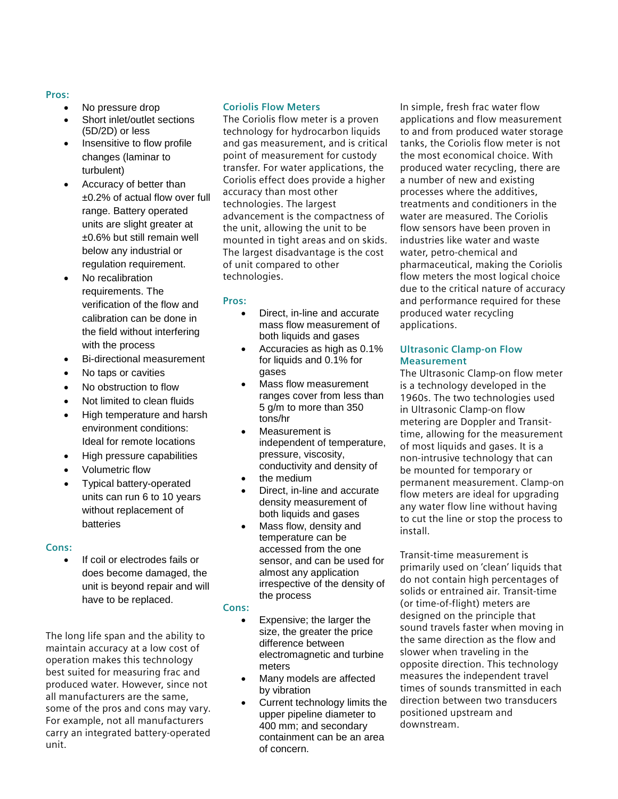### **Pros:**

- No pressure drop
- Short inlet/outlet sections (5D/2D) or less
- Insensitive to flow profile changes (laminar to turbulent)
- Accuracy of better than ±0.2% of actual flow over full range. Battery operated units are slight greater at ±0.6% but still remain well below any industrial or regulation requirement.
- No recalibration requirements. The verification of the flow and calibration can be done in the field without interfering with the process
- Bi-directional measurement
- No taps or cavities
- No obstruction to flow
- Not limited to clean fluids
- High temperature and harsh environment conditions: Ideal for remote locations
- High pressure capabilities
- Volumetric flow
- Typical battery-operated units can run 6 to 10 years without replacement of batteries

## **Cons:**

If coil or electrodes fails or does become damaged, the unit is beyond repair and will have to be replaced.

The long life span and the ability to maintain accuracy at a low cost of operation makes this technology best suited for measuring frac and produced water. However, since not all manufacturers are the same, some of the pros and cons may vary. For example, not all manufacturers carry an integrated battery-operated unit.

## **Coriolis Flow Meters**

The Coriolis flow meter is a proven technology for hydrocarbon liquids and gas measurement, and is critical point of measurement for custody transfer. For water applications, the Coriolis effect does provide a higher accuracy than most other technologies. The largest advancement is the compactness of the unit, allowing the unit to be mounted in tight areas and on skids. The largest disadvantage is the cost of unit compared to other technologies.

### **Pros:**

- Direct, in-line and accurate mass flow measurement of both liquids and gases
- Accuracies as high as 0.1% for liquids and 0.1% for gases
- Mass flow measurement ranges cover from less than 5 g/m to more than 350 tons/hr
- Measurement is independent of temperature, pressure, viscosity, conductivity and density of
- the medium
- Direct, in-line and accurate density measurement of both liquids and gases
- Mass flow, density and temperature can be accessed from the one sensor, and can be used for almost any application irrespective of the density of the process

#### **Cons:**

- Expensive; the larger the size, the greater the price difference between electromagnetic and turbine meters
- Many models are affected by vibration
- Current technology limits the upper pipeline diameter to 400 mm; and secondary containment can be an area of concern.

In simple, fresh frac water flow applications and flow measurement to and from produced water storage tanks, the Coriolis flow meter is not the most economical choice. With produced water recycling, there are a number of new and existing processes where the additives, treatments and conditioners in the water are measured. The Coriolis flow sensors have been proven in industries like water and waste water, petro-chemical and pharmaceutical, making the Coriolis flow meters the most logical choice due to the critical nature of accuracy and performance required for these produced water recycling applications.

## **Ultrasonic Clamp-on Flow Measurement**

The Ultrasonic Clamp-on flow meter is a technology developed in the 1960s. The two technologies used in Ultrasonic Clamp-on flow metering are Doppler and Transittime, allowing for the measurement of most liquids and gases. It is a non-intrusive technology that can be mounted for temporary or permanent measurement. Clamp-on flow meters are ideal for upgrading any water flow line without having to cut the line or stop the process to install.

Transit-time measurement is primarily used on 'clean' liquids that do not contain high percentages of solids or entrained air. Transit-time (or time-of-flight) meters are designed on the principle that sound travels faster when moving in the same direction as the flow and slower when traveling in the opposite direction. This technology measures the independent travel times of sounds transmitted in each direction between two transducers positioned upstream and downstream.